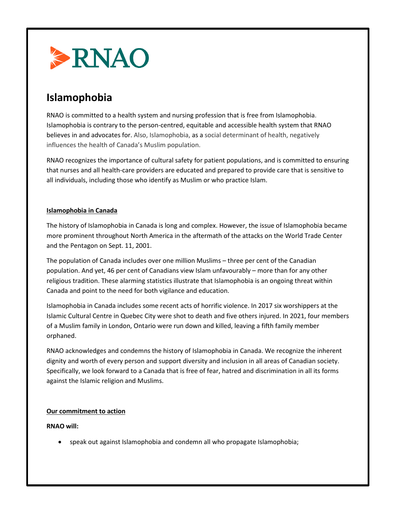

# **Islamophobia**

RNAO is committed to a health system and nursing profession that is free from Islamophobia. Islamophobia is contrary to the person-centred, equitable and accessible health system that RNAO believes in and advocates for. Also, Islamophobia, as a social determinant of health, negatively influences the health of Canada's Muslim population.

RNAO recognizes the importance of cultural safety for patient populations, and is committed to ensuring that nurses and all health-care providers are educated and prepared to provide care that is sensitive to all individuals, including those who identify as Muslim or who practice Islam.

#### **Islamophobia in Canada**

The history of Islamophobia in Canada is long and complex. However, the issue of Islamophobia became more prominent throughout North America in the aftermath of the attacks on the World Trade Center and the Pentagon on Sept. 11, 2001.

The population of Canada includes over one million Muslims – three per cent of the Canadian population. And yet, 46 per cent of Canadians view Islam unfavourably – more than for any other religious tradition. These alarming statistics illustrate that Islamophobia is an ongoing threat within Canada and point to the need for both vigilance and education.

Islamophobia in Canada includes some recent acts of horrific violence. In 2017 six worshippers at the Islamic Cultural Centre in Quebec City were shot to death and five others injured. In 2021, four members of a Muslim family in London, Ontario were run down and killed, leaving a fifth family member orphaned.

RNAO acknowledges and condemns the history of Islamophobia in Canada. We recognize the inherent dignity and worth of every person and support diversity and inclusion in all areas of Canadian society. Specifically, we look forward to a Canada that is free of fear, hatred and discrimination in all its forms against the Islamic religion and Muslims.

## **Our commitment to action**

## **RNAO will:**

• speak out against Islamophobia and condemn all who propagate Islamophobia;